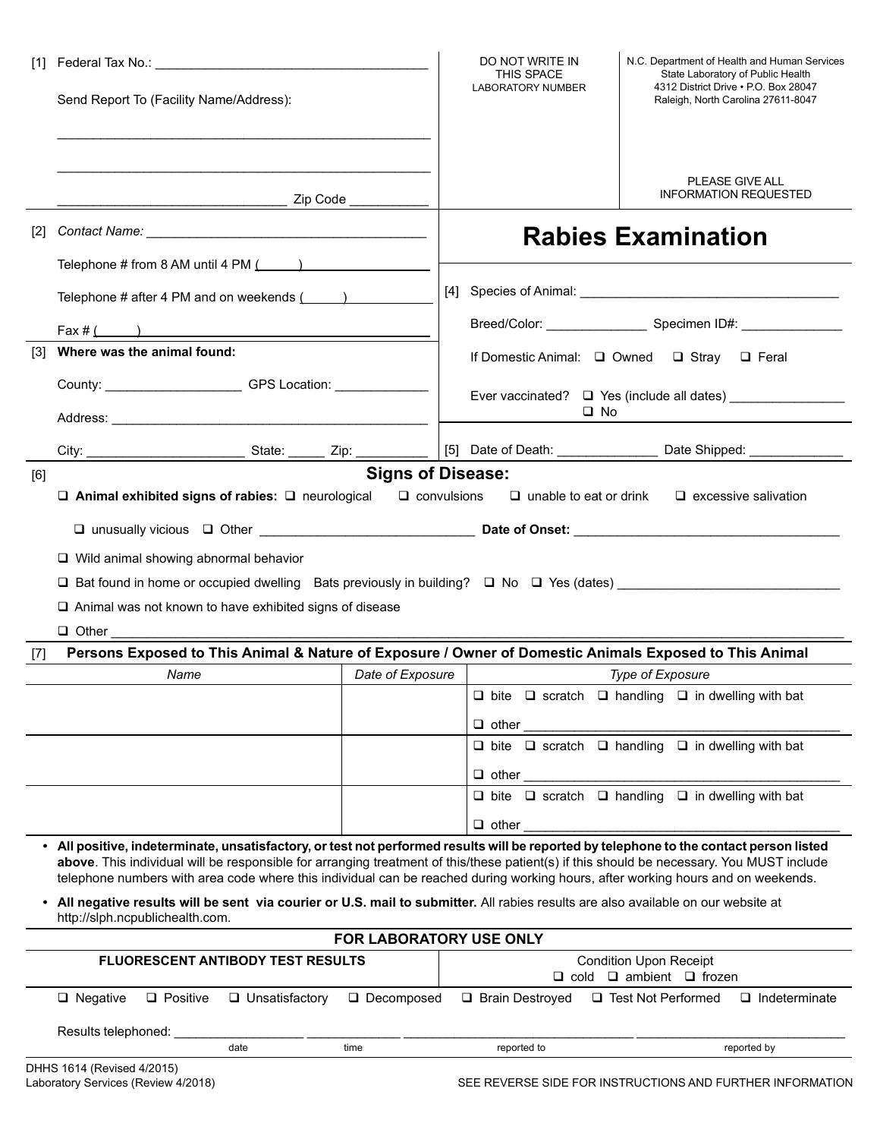|                   | Send Report To (Facility Name/Address):                                                                                                                                                                                                                                                                                                                                                                                  |                         | DO NOT WRITE IN<br><b>THIS SPACE</b><br>LABORATORY NUMBER                     | N.C. Department of Health and Human Services<br>State Laboratory of Public Health<br>4312 District Drive . P.O. Box 28047<br>Raleigh, North Carolina 27611-8047 |
|-------------------|--------------------------------------------------------------------------------------------------------------------------------------------------------------------------------------------------------------------------------------------------------------------------------------------------------------------------------------------------------------------------------------------------------------------------|-------------------------|-------------------------------------------------------------------------------|-----------------------------------------------------------------------------------------------------------------------------------------------------------------|
|                   |                                                                                                                                                                                                                                                                                                                                                                                                                          |                         |                                                                               | PLEASE GIVE ALL<br><b>INFORMATION REQUESTED</b>                                                                                                                 |
| $\lceil 2 \rceil$ |                                                                                                                                                                                                                                                                                                                                                                                                                          |                         | <b>Rabies Examination</b>                                                     |                                                                                                                                                                 |
|                   | Telephone # from 8 AM until 4 PM $($ ( $)$ )                                                                                                                                                                                                                                                                                                                                                                             |                         |                                                                               |                                                                                                                                                                 |
|                   | Telephone # after 4 PM and on weekends $($                                                                                                                                                                                                                                                                                                                                                                               |                         |                                                                               |                                                                                                                                                                 |
| $\lceil 3 \rceil$ | Fax $\#$ ( )<br>Where was the animal found:                                                                                                                                                                                                                                                                                                                                                                              |                         |                                                                               |                                                                                                                                                                 |
|                   |                                                                                                                                                                                                                                                                                                                                                                                                                          |                         |                                                                               | If Domestic Animal: □ Owned □ Stray □ Feral                                                                                                                     |
|                   | County: County: County: County: County: County: County: County: County: County: County: County: County: County: County: County: County: County: County: County: County: County: County: County: County: County: County: County                                                                                                                                                                                           |                         | Ever vaccinated? □ Yes (include all dates) __________________<br>$\square$ No |                                                                                                                                                                 |
|                   |                                                                                                                                                                                                                                                                                                                                                                                                                          |                         |                                                                               |                                                                                                                                                                 |
|                   | $\Box$ Wild animal showing abnormal behavior                                                                                                                                                                                                                                                                                                                                                                             |                         |                                                                               |                                                                                                                                                                 |
|                   | $\Box$ Bat found in home or occupied dwelling Bats previously in building? $\Box$ No $\Box$ Yes (dates)<br>$\Box$ Animal was not known to have exhibited signs of disease                                                                                                                                                                                                                                                |                         |                                                                               |                                                                                                                                                                 |
| $[7]$             | Persons Exposed to This Animal & Nature of Exposure / Owner of Domestic Animals Exposed to This Animal                                                                                                                                                                                                                                                                                                                   |                         |                                                                               |                                                                                                                                                                 |
|                   | Name                                                                                                                                                                                                                                                                                                                                                                                                                     | Date of Exposure        |                                                                               | Type of Exposure                                                                                                                                                |
|                   |                                                                                                                                                                                                                                                                                                                                                                                                                          |                         |                                                                               | $\boxed{\square}$ bite $\boxed{\square}$ scratch $\boxed{\square}$ handling $\boxed{\square}$ in dwelling with bat                                              |
|                   |                                                                                                                                                                                                                                                                                                                                                                                                                          |                         | $\Box$ other<br>$\Box$ other                                                  | $\Box$ bite $\Box$ scratch $\Box$ handling $\Box$ in dwelling with bat                                                                                          |
|                   |                                                                                                                                                                                                                                                                                                                                                                                                                          |                         |                                                                               | $\Box$ bite $\Box$ scratch $\Box$ handling $\Box$ in dwelling with bat                                                                                          |
|                   | • All positive, indeterminate, unsatisfactory, or test not performed results will be reported by telephone to the contact person listed<br>above. This individual will be responsible for arranging treatment of this/these patient(s) if this should be necessary. You MUST include<br>telephone numbers with area code where this individual can be reached during working hours, after working hours and on weekends. |                         | $\Box$ other                                                                  |                                                                                                                                                                 |
|                   | • All negative results will be sent via courier or U.S. mail to submitter. All rabies results are also available on our website at<br>http://slph.ncpublichealth.com.                                                                                                                                                                                                                                                    |                         |                                                                               |                                                                                                                                                                 |
|                   |                                                                                                                                                                                                                                                                                                                                                                                                                          | FOR LABORATORY USE ONLY |                                                                               |                                                                                                                                                                 |
|                   | FLUORESCENT ANTIBODY TEST RESULTS                                                                                                                                                                                                                                                                                                                                                                                        |                         |                                                                               | <b>Condition Upon Receipt</b>                                                                                                                                   |
|                   | $\Box$ Negative<br>$\Box$ Unsatisfactory<br>$\Box$ Positive<br>Results telephoned:                                                                                                                                                                                                                                                                                                                                       | □ Decomposed            | □ Brain Destroyed                                                             | $\Box$ cold $\Box$ ambient $\Box$ frozen<br>□ Test Not Performed<br>$\Box$ Indeterminate                                                                        |